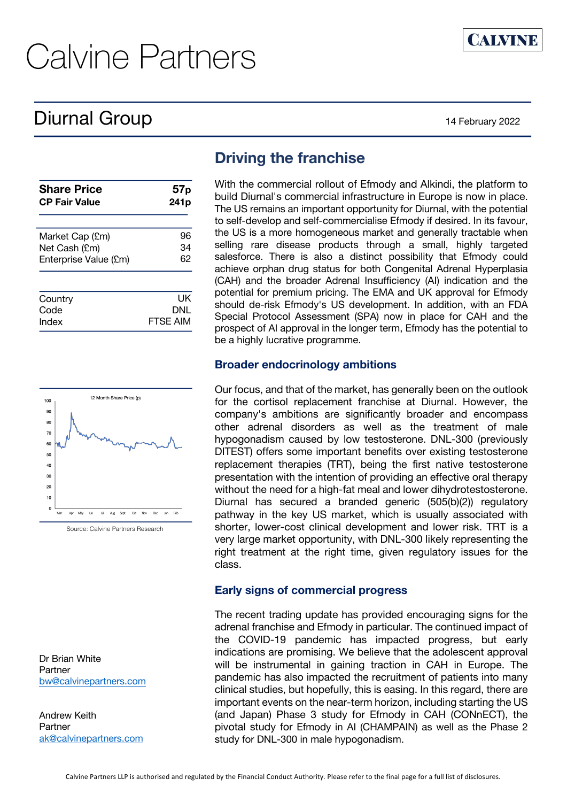# Diurnal Group 14 February 2022

**CALVINE** 

| <b>Share Price</b>    | 57p              |  |  |  |
|-----------------------|------------------|--|--|--|
| <b>CP Fair Value</b>  | 241 <sub>p</sub> |  |  |  |
| Market Cap (£m)       | 96               |  |  |  |
| Net Cash (£m)         | 34               |  |  |  |
| Enterprise Value (£m) | 62               |  |  |  |
| Country               | UK               |  |  |  |
| Code                  | DNL              |  |  |  |
| Index                 | FTSE AIM         |  |  |  |



Source: Calvine Partners Research

Dr Brian White Partner bw@calvinepartners.com

Andrew Keith Partner ak@calvinepartners.com

## **Driving the franchise**

With the commercial rollout of Efmody and Alkindi, the platform to build Diurnal's commercial infrastructure in Europe is now in place. The US remains an important opportunity for Diurnal, with the potential to self-develop and self-commercialise Efmody if desired. In its favour, the US is a more homogeneous market and generally tractable when selling rare disease products through a small, highly targeted salesforce. There is also a distinct possibility that Efmody could achieve orphan drug status for both Congenital Adrenal Hyperplasia (CAH) and the broader Adrenal Insufficiency (AI) indication and the potential for premium pricing. The EMA and UK approval for Efmody should de-risk Efmody's US development. In addition, with an FDA Special Protocol Assessment (SPA) now in place for CAH and the prospect of AI approval in the longer term, Efmody has the potential to be a highly lucrative programme.

#### **Broader endocrinology ambitions**

Our focus, and that of the market, has generally been on the outlook for the cortisol replacement franchise at Diurnal. However, the company's ambitions are significantly broader and encompass other adrenal disorders as well as the treatment of male hypogonadism caused by low testosterone. DNL-300 (previously DITEST) offers some important benefits over existing testosterone replacement therapies (TRT), being the first native testosterone presentation with the intention of providing an effective oral therapy without the need for a high-fat meal and lower dihydrotestosterone. Diurnal has secured a branded generic (505(b)(2)) regulatory pathway in the key US market, which is usually associated with shorter, lower-cost clinical development and lower risk. TRT is a very large market opportunity, with DNL-300 likely representing the right treatment at the right time, given regulatory issues for the class.

#### **Early signs of commercial progress**

The recent trading update has provided encouraging signs for the adrenal franchise and Efmody in particular. The continued impact of the COVID-19 pandemic has impacted progress, but early indications are promising. We believe that the adolescent approval will be instrumental in gaining traction in CAH in Europe. The pandemic has also impacted the recruitment of patients into many clinical studies, but hopefully, this is easing. In this regard, there are important events on the near-term horizon, including starting the US (and Japan) Phase 3 study for Efmody in CAH (CONnECT), the pivotal study for Efmody in AI (CHAMPAIN) as well as the Phase 2 study for DNL-300 in male hypogonadism.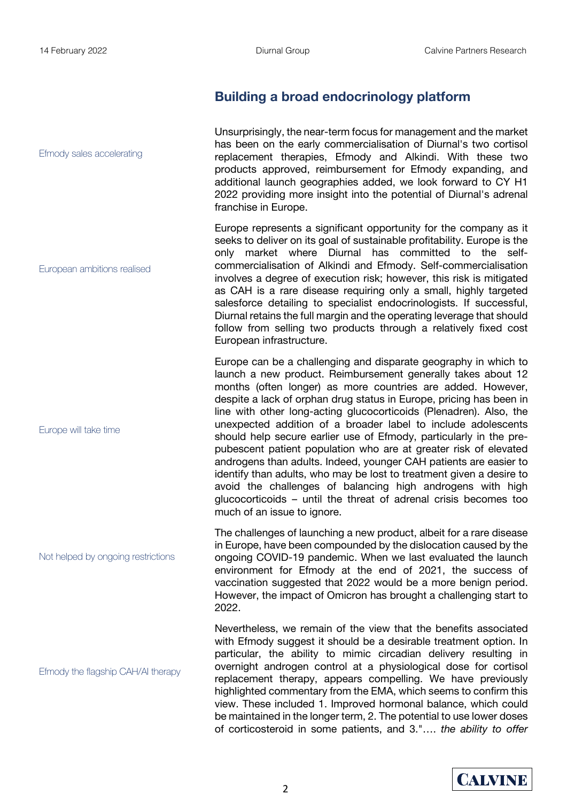Efmody sales accelerating

European ambitions realised

Europe will take time

## **Building a broad endocrinology platform**

Unsurprisingly, the near-term focus for management and the market has been on the early commercialisation of Diurnal's two cortisol replacement therapies, Efmody and Alkindi. With these two products approved, reimbursement for Efmody expanding, and additional launch geographies added, we look forward to CY H1 2022 providing more insight into the potential of Diurnal's adrenal franchise in Europe.

Europe represents a significant opportunity for the company as it seeks to deliver on its goal of sustainable profitability. Europe is the only market where Diurnal has committed to the selfcommercialisation of Alkindi and Efmody. Self-commercialisation involves a degree of execution risk; however, this risk is mitigated as CAH is a rare disease requiring only a small, highly targeted salesforce detailing to specialist endocrinologists. If successful, Diurnal retains the full margin and the operating leverage that should follow from selling two products through a relatively fixed cost European infrastructure.

Europe can be a challenging and disparate geography in which to launch a new product. Reimbursement generally takes about 12 months (often longer) as more countries are added. However, despite a lack of orphan drug status in Europe, pricing has been in line with other long-acting glucocorticoids (Plenadren). Also, the unexpected addition of a broader label to include adolescents should help secure earlier use of Efmody, particularly in the prepubescent patient population who are at greater risk of elevated androgens than adults. Indeed, younger CAH patients are easier to identify than adults, who may be lost to treatment given a desire to avoid the challenges of balancing high androgens with high glucocorticoids – until the threat of adrenal crisis becomes too much of an issue to ignore.

The challenges of launching a new product, albeit for a rare disease in Europe, have been compounded by the dislocation caused by the ongoing COVID-19 pandemic. When we last evaluated the launch environment for Efmody at the end of 2021, the success of vaccination suggested that 2022 would be a more benign period. However, the impact of Omicron has brought a challenging start to 2022.

Nevertheless, we remain of the view that the benefits associated with Efmody suggest it should be a desirable treatment option. In particular, the ability to mimic circadian delivery resulting in overnight androgen control at a physiological dose for cortisol replacement therapy, appears compelling. We have previously highlighted commentary from the EMA, which seems to confirm this view. These included 1. Improved hormonal balance, which could be maintained in the longer term, 2. The potential to use lower doses of corticosteroid in some patients, and 3."…. *the ability to offer* 

Not helped by ongoing restrictions

Efmody the flagship CAH/AI therapy

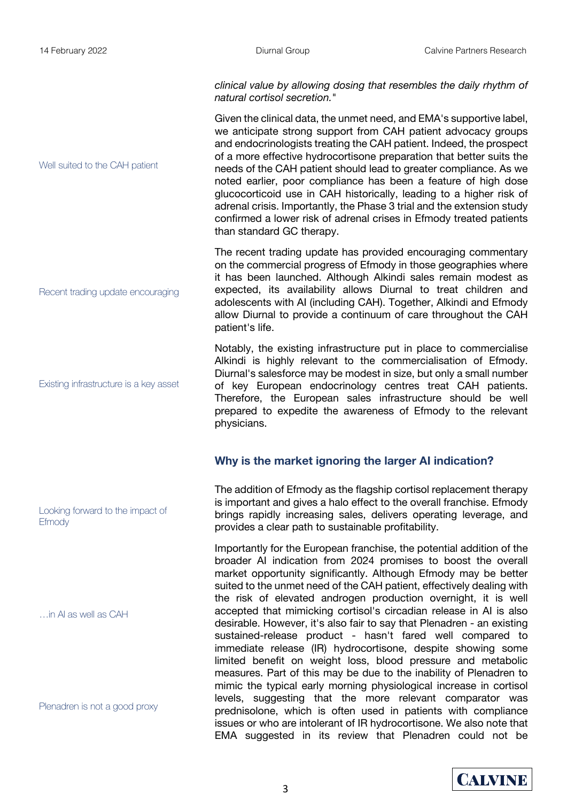*clinical value by allowing dosing that resembles the daily rhythm of natural cortisol secretion.*"

Given the clinical data, the unmet need, and EMA's supportive label, we anticipate strong support from CAH patient advocacy groups and endocrinologists treating the CAH patient. Indeed, the prospect of a more effective hydrocortisone preparation that better suits the needs of the CAH patient should lead to greater compliance. As we noted earlier, poor compliance has been a feature of high dose glucocorticoid use in CAH historically, leading to a higher risk of adrenal crisis. Importantly, the Phase 3 trial and the extension study confirmed a lower risk of adrenal crises in Efmody treated patients than standard GC therapy.

The recent trading update has provided encouraging commentary on the commercial progress of Efmody in those geographies where it has been launched. Although Alkindi sales remain modest as expected, its availability allows Diurnal to treat children and adolescents with AI (including CAH). Together, Alkindi and Efmody allow Diurnal to provide a continuum of care throughout the CAH patient's life.

Notably, the existing infrastructure put in place to commercialise Alkindi is highly relevant to the commercialisation of Efmody. Diurnal's salesforce may be modest in size, but only a small number of key European endocrinology centres treat CAH patients. Therefore, the European sales infrastructure should be well prepared to expedite the awareness of Efmody to the relevant physicians.

#### **Why is the market ignoring the larger AI indication?**

The addition of Efmody as the flagship cortisol replacement therapy is important and gives a halo effect to the overall franchise. Efmody brings rapidly increasing sales, delivers operating leverage, and provides a clear path to sustainable profitability.

Importantly for the European franchise, the potential addition of the broader AI indication from 2024 promises to boost the overall market opportunity significantly. Although Efmody may be better suited to the unmet need of the CAH patient, effectively dealing with the risk of elevated androgen production overnight, it is well accepted that mimicking cortisol's circadian release in AI is also desirable. However, it's also fair to say that Plenadren - an existing sustained-release product - hasn't fared well compared to immediate release (IR) hydrocortisone, despite showing some limited benefit on weight loss, blood pressure and metabolic measures. Part of this may be due to the inability of Plenadren to mimic the typical early morning physiological increase in cortisol levels, suggesting that the more relevant comparator was prednisolone, which is often used in patients with compliance issues or who are intolerant of IR hydrocortisone. We also note that EMA suggested in its review that Plenadren could not be

Recent trading update encouraging

Well suited to the CAH patient

Existing infrastructure is a key asset

Looking forward to the impact of **Efmody** 

…in AI as well as CAH

Plenadren is not a good proxy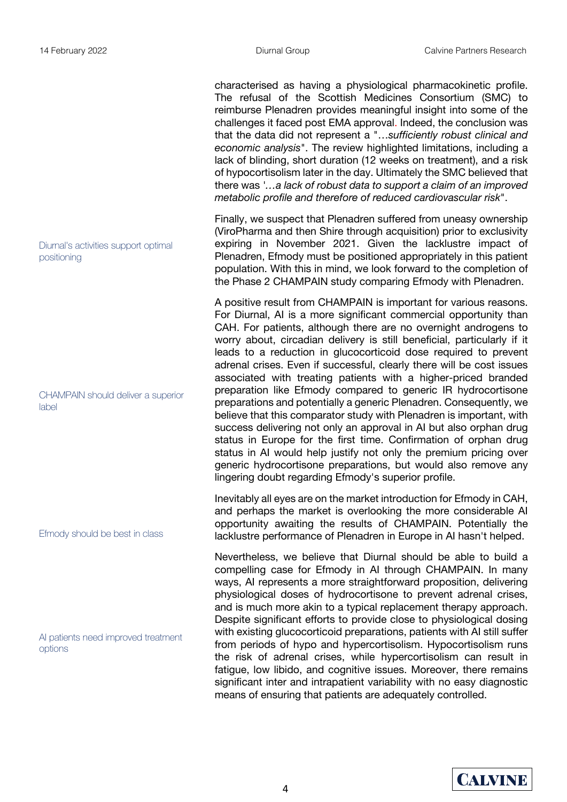characterised as having a physiological pharmacokinetic profile. The refusal of the Scottish Medicines Consortium (SMC) to reimburse Plenadren provides meaningful insight into some of the challenges it faced post EMA approval. Indeed, the conclusion was that the data did not represent a "…*sufficiently robust clinical and economic analysis*". The review highlighted limitations, including a lack of blinding, short duration (12 weeks on treatment), and a risk of hypocortisolism later in the day. Ultimately the SMC believed that there was *'…a lack of robust data to support a claim of an improved metabolic profile and therefore of reduced cardiovascular risk*".

Finally, we suspect that Plenadren suffered from uneasy ownership (ViroPharma and then Shire through acquisition) prior to exclusivity expiring in November 2021. Given the lacklustre impact of Plenadren, Efmody must be positioned appropriately in this patient population. With this in mind, we look forward to the completion of the Phase 2 CHAMPAIN study comparing Efmody with Plenadren.

A positive result from CHAMPAIN is important for various reasons. For Diurnal, AI is a more significant commercial opportunity than CAH. For patients, although there are no overnight androgens to worry about, circadian delivery is still beneficial, particularly if it leads to a reduction in glucocorticoid dose required to prevent adrenal crises. Even if successful, clearly there will be cost issues associated with treating patients with a higher-priced branded preparation like Efmody compared to generic IR hydrocortisone preparations and potentially a generic Plenadren. Consequently, we believe that this comparator study with Plenadren is important, with success delivering not only an approval in AI but also orphan drug status in Europe for the first time. Confirmation of orphan drug status in AI would help justify not only the premium pricing over generic hydrocortisone preparations, but would also remove any lingering doubt regarding Efmody's superior profile.

Inevitably all eyes are on the market introduction for Efmody in CAH, and perhaps the market is overlooking the more considerable AI opportunity awaiting the results of CHAMPAIN. Potentially the lacklustre performance of Plenadren in Europe in AI hasn't helped.

Nevertheless, we believe that Diurnal should be able to build a compelling case for Efmody in AI through CHAMPAIN. In many ways, AI represents a more straightforward proposition, delivering physiological doses of hydrocortisone to prevent adrenal crises, and is much more akin to a typical replacement therapy approach. Despite significant efforts to provide close to physiological dosing with existing glucocorticoid preparations, patients with AI still suffer from periods of hypo and hypercortisolism. Hypocortisolism runs the risk of adrenal crises, while hypercortisolism can result in fatigue, low libido, and cognitive issues. Moreover, there remains significant inter and intrapatient variability with no easy diagnostic means of ensuring that patients are adequately controlled.

Diurnal's activities support optimal positioning

CHAMPAIN should deliver a superior lahel

Efmody should be best in class

AI patients need improved treatment options

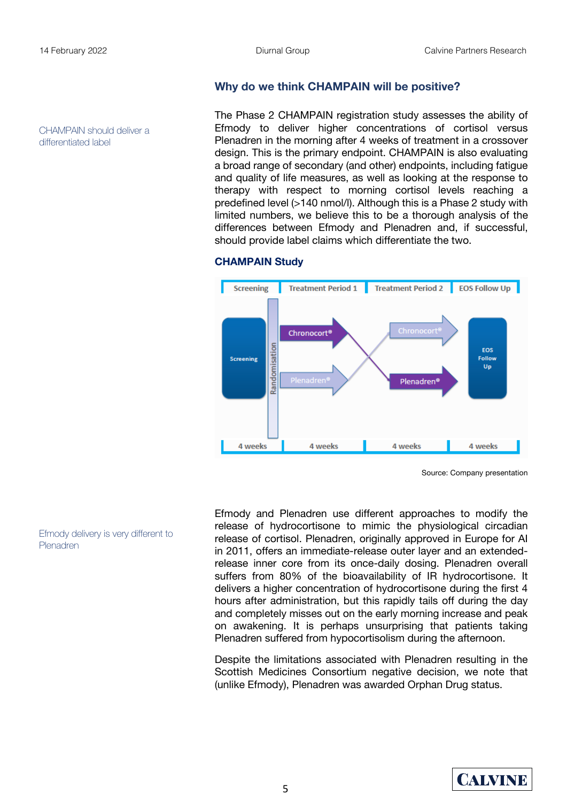CHAMPAIN should deliver a differentiated label

**Why do we think CHAMPAIN will be positive?**

The Phase 2 CHAMPAIN registration study assesses the ability of Efmody to deliver higher concentrations of cortisol versus Plenadren in the morning after 4 weeks of treatment in a crossover design. This is the primary endpoint. CHAMPAIN is also evaluating a broad range of secondary (and other) endpoints, including fatigue and quality of life measures, as well as looking at the response to therapy with respect to morning cortisol levels reaching a predefined level (>140 nmol/l). Although this is a Phase 2 study with limited numbers, we believe this to be a thorough analysis of the differences between Efmody and Plenadren and, if successful, should provide label claims which differentiate the two.



#### **CHAMPAIN Study**

Source: Company presentation

Efmody delivery is very different to Plenadren

Efmody and Plenadren use different approaches to modify the release of hydrocortisone to mimic the physiological circadian release of cortisol. Plenadren, originally approved in Europe for AI in 2011, offers an immediate-release outer layer and an extendedrelease inner core from its once-daily dosing. Plenadren overall suffers from 80% of the bioavailability of IR hydrocortisone. It delivers a higher concentration of hydrocortisone during the first 4 hours after administration, but this rapidly tails off during the day and completely misses out on the early morning increase and peak on awakening. It is perhaps unsurprising that patients taking Plenadren suffered from hypocortisolism during the afternoon.

Despite the limitations associated with Plenadren resulting in the Scottish Medicines Consortium negative decision, we note that (unlike Efmody), Plenadren was awarded Orphan Drug status.

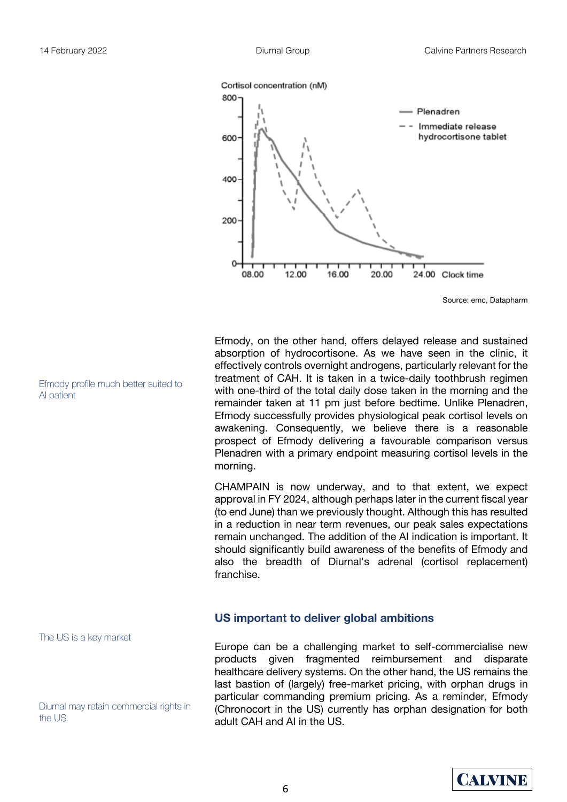

Efmody, on the other hand, offers delayed release and sustained absorption of hydrocortisone. As we have seen in the clinic, it effectively controls overnight androgens, particularly relevant for the treatment of CAH. It is taken in a twice-daily toothbrush regimen with one-third of the total daily dose taken in the morning and the remainder taken at 11 pm just before bedtime. Unlike Plenadren, Efmody successfully provides physiological peak cortisol levels on awakening. Consequently, we believe there is a reasonable prospect of Efmody delivering a favourable comparison versus Plenadren with a primary endpoint measuring cortisol levels in the morning.

CHAMPAIN is now underway, and to that extent, we expect approval in FY 2024, although perhaps later in the current fiscal year (to end June) than we previously thought. Although this has resulted in a reduction in near term revenues, our peak sales expectations remain unchanged. The addition of the AI indication is important. It should significantly build awareness of the benefits of Efmody and also the breadth of Diurnal's adrenal (cortisol replacement) franchise.

#### **US important to deliver global ambitions**

Europe can be a challenging market to self-commercialise new products given fragmented reimbursement and disparate healthcare delivery systems. On the other hand, the US remains the last bastion of (largely) free-market pricing, with orphan drugs in particular commanding premium pricing. As a reminder, Efmody (Chronocort in the US) currently has orphan designation for both adult CAH and AI in the US.

Efmody profile much better suited to AI patient

The US is a key market

Diurnal may retain commercial rights in the US

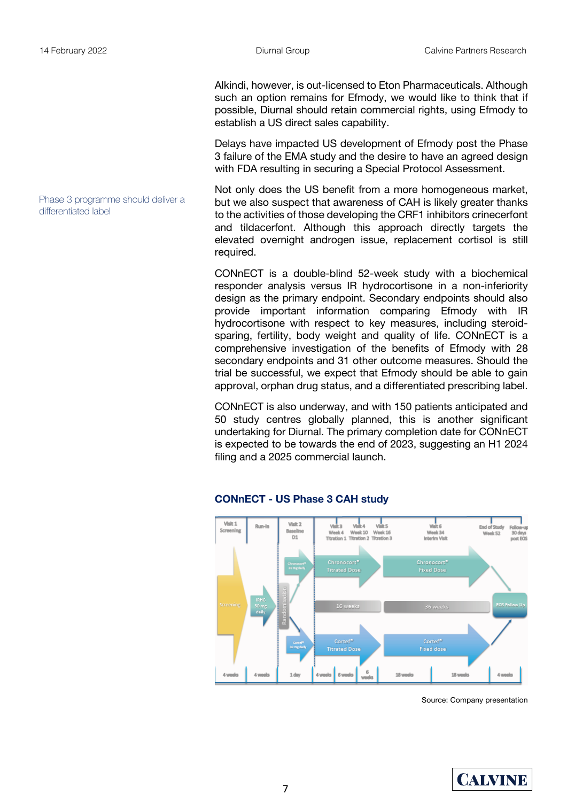differentiated label

Phase 3 programme should deliver a

Alkindi, however, is out-licensed to Eton Pharmaceuticals. Although such an option remains for Efmody, we would like to think that if possible, Diurnal should retain commercial rights, using Efmody to establish a US direct sales capability.

Delays have impacted US development of Efmody post the Phase 3 failure of the EMA study and the desire to have an agreed design with FDA resulting in securing a Special Protocol Assessment.

Not only does the US benefit from a more homogeneous market, but we also suspect that awareness of CAH is likely greater thanks to the activities of those developing the CRF1 inhibitors crinecerfont and tildacerfont. Although this approach directly targets the elevated overnight androgen issue, replacement cortisol is still required.

CONnECT is a double-blind 52-week study with a biochemical responder analysis versus IR hydrocortisone in a non-inferiority design as the primary endpoint. Secondary endpoints should also provide important information comparing Efmody with IR hydrocortisone with respect to key measures, including steroidsparing, fertility, body weight and quality of life. CONnECT is a comprehensive investigation of the benefits of Efmody with 28 secondary endpoints and 31 other outcome measures. Should the trial be successful, we expect that Efmody should be able to gain approval, orphan drug status, and a differentiated prescribing label.

CONnECT is also underway, and with 150 patients anticipated and 50 study centres globally planned, this is another significant undertaking for Diurnal. The primary completion date for CONnECT is expected to be towards the end of 2023, suggesting an H1 2024 filing and a 2025 commercial launch.



#### **CONnECT - US Phase 3 CAH study**

Source: Company presentation

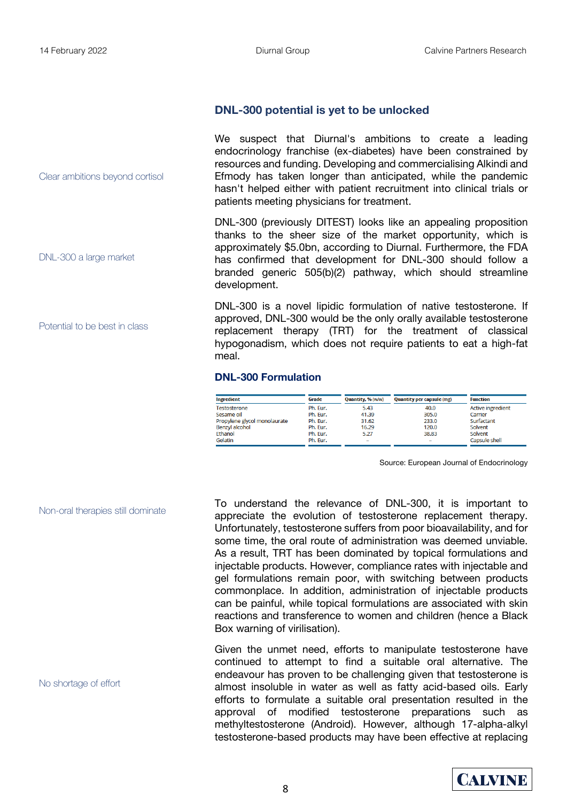Clear ambitions beyond cortisol

DNL-300 a large market

Potential to be best in class

#### **DNL-300 potential is yet to be unlocked**

We suspect that Diurnal's ambitions to create a leading endocrinology franchise (ex-diabetes) have been constrained by resources and funding. Developing and commercialising Alkindi and Efmody has taken longer than anticipated, while the pandemic hasn't helped either with patient recruitment into clinical trials or patients meeting physicians for treatment.

DNL-300 (previously DITEST) looks like an appealing proposition thanks to the sheer size of the market opportunity, which is approximately \$5.0bn, according to Diurnal. Furthermore, the FDA has confirmed that development for DNL-300 should follow a branded generic 505(b)(2) pathway, which should streamline development.

DNL-300 is a novel lipidic formulation of native testosterone. If approved, DNL-300 would be the only orally available testosterone replacement therapy (TRT) for the treatment of classical hypogonadism, which does not require patients to eat a high-fat meal.

#### **DNL-300 Formulation**

| <b>Ingredient</b>            | Grade    | Quantity, % (w/w)        | <b>Quantity per capsule (mg)</b> | <b>Function</b>          |
|------------------------------|----------|--------------------------|----------------------------------|--------------------------|
| Testosterone                 | Ph. Eur. | 5.43                     | 40.0                             | <b>Active ingredient</b> |
| Sesame oil                   | Ph. Eur. | 41.39                    | 305.0                            | Carrier                  |
| Propylene glycol monolaurate | Ph. Eur. | 31.62                    | 233.0                            | Surfactant               |
| <b>Benzyl alcohol</b>        | Ph. Eur. | 16.29                    | 120.0                            | Solvent                  |
| Ethanol                      | Ph. Eur. | 5.27                     | 38.83                            | Solvent                  |
| Gelatin                      | Ph. Eur. | $\overline{\phantom{a}}$ | -                                | Capsule shell            |

Source: European Journal of Endocrinology

Non-oral therapies still dominate

No shortage of effort

To understand the relevance of DNL-300, it is important to appreciate the evolution of testosterone replacement therapy. Unfortunately, testosterone suffers from poor bioavailability, and for some time, the oral route of administration was deemed unviable. As a result, TRT has been dominated by topical formulations and injectable products. However, compliance rates with injectable and gel formulations remain poor, with switching between products commonplace. In addition, administration of injectable products can be painful, while topical formulations are associated with skin reactions and transference to women and children (hence a Black Box warning of virilisation).

Given the unmet need, efforts to manipulate testosterone have continued to attempt to find a suitable oral alternative. The endeavour has proven to be challenging given that testosterone is almost insoluble in water as well as fatty acid-based oils. Early efforts to formulate a suitable oral presentation resulted in the approval of modified testosterone preparations such as methyltestosterone (Android). However, although 17-alpha-alkyl testosterone-based products may have been effective at replacing

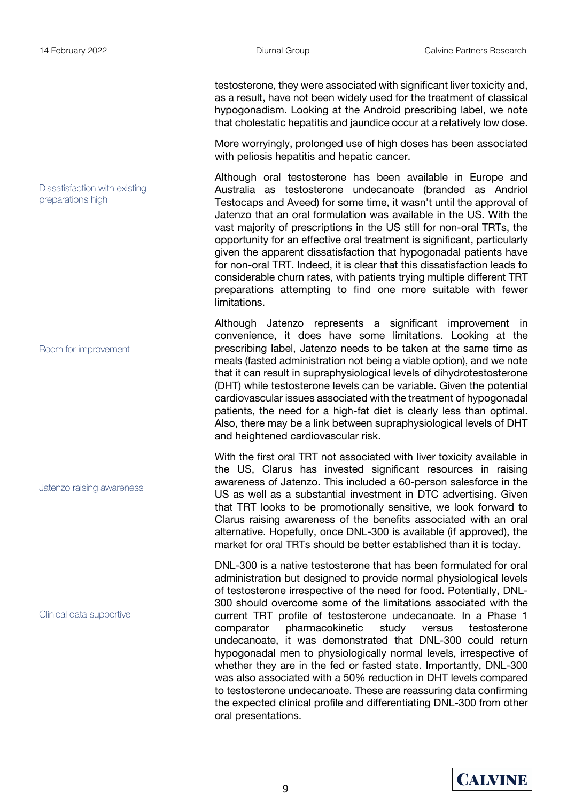testosterone, they were associated with significant liver toxicity and, as a result, have not been widely used for the treatment of classical hypogonadism. Looking at the Android prescribing label, we note that cholestatic hepatitis and jaundice occur at a relatively low dose.

More worryingly, prolonged use of high doses has been associated with peliosis hepatitis and hepatic cancer.

Although oral testosterone has been available in Europe and Australia as testosterone undecanoate (branded as Andriol Testocaps and Aveed) for some time, it wasn't until the approval of Jatenzo that an oral formulation was available in the US. With the vast majority of prescriptions in the US still for non-oral TRTs, the opportunity for an effective oral treatment is significant, particularly given the apparent dissatisfaction that hypogonadal patients have for non-oral TRT. Indeed, it is clear that this dissatisfaction leads to considerable churn rates, with patients trying multiple different TRT preparations attempting to find one more suitable with fewer limitations.

Although Jatenzo represents a significant improvement in convenience, it does have some limitations. Looking at the prescribing label, Jatenzo needs to be taken at the same time as meals (fasted administration not being a viable option), and we note that it can result in supraphysiological levels of dihydrotestosterone (DHT) while testosterone levels can be variable. Given the potential cardiovascular issues associated with the treatment of hypogonadal patients, the need for a high-fat diet is clearly less than optimal. Also, there may be a link between supraphysiological levels of DHT and heightened cardiovascular risk.

With the first oral TRT not associated with liver toxicity available in the US, Clarus has invested significant resources in raising awareness of Jatenzo. This included a 60-person salesforce in the US as well as a substantial investment in DTC advertising. Given that TRT looks to be promotionally sensitive, we look forward to Clarus raising awareness of the benefits associated with an oral alternative. Hopefully, once DNL-300 is available (if approved), the market for oral TRTs should be better established than it is today.

DNL-300 is a native testosterone that has been formulated for oral administration but designed to provide normal physiological levels of testosterone irrespective of the need for food. Potentially, DNL-300 should overcome some of the limitations associated with the current TRT profile of testosterone undecanoate. In a Phase 1 comparator pharmacokinetic study versus testosterone undecanoate, it was demonstrated that DNL-300 could return hypogonadal men to physiologically normal levels, irrespective of whether they are in the fed or fasted state. Importantly, DNL-300 was also associated with a 50% reduction in DHT levels compared to testosterone undecanoate. These are reassuring data confirming the expected clinical profile and differentiating DNL-300 from other oral presentations.



Dissatisfaction with existing preparations high

Room for improvement

Jatenzo raising awareness

Clinical data supportive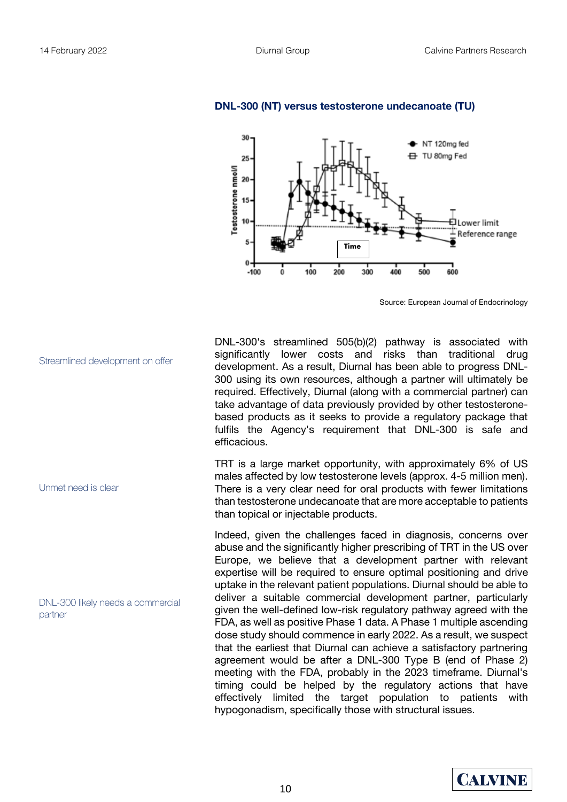

#### **DNL-300 (NT) versus testosterone undecanoate (TU)**

Source: European Journal of Endocrinology

DNL-300's streamlined 505(b)(2) pathway is associated with significantly lower costs and risks than traditional drug development. As a result, Diurnal has been able to progress DNL-300 using its own resources, although a partner will ultimately be required. Effectively, Diurnal (along with a commercial partner) can take advantage of data previously provided by other testosteronebased products as it seeks to provide a regulatory package that fulfils the Agency's requirement that DNL-300 is safe and efficacious.

TRT is a large market opportunity, with approximately 6% of US males affected by low testosterone levels (approx. 4-5 million men). There is a very clear need for oral products with fewer limitations than testosterone undecanoate that are more acceptable to patients than topical or injectable products.

Indeed, given the challenges faced in diagnosis, concerns over abuse and the significantly higher prescribing of TRT in the US over Europe, we believe that a development partner with relevant expertise will be required to ensure optimal positioning and drive uptake in the relevant patient populations. Diurnal should be able to deliver a suitable commercial development partner, particularly given the well-defined low-risk regulatory pathway agreed with the FDA, as well as positive Phase 1 data. A Phase 1 multiple ascending dose study should commence in early 2022. As a result, we suspect that the earliest that Diurnal can achieve a satisfactory partnering agreement would be after a DNL-300 Type B (end of Phase 2) meeting with the FDA, probably in the 2023 timeframe. Diurnal's timing could be helped by the regulatory actions that have effectively limited the target population to patients with hypogonadism, specifically those with structural issues.



Unmet need is clear

DNL-300 likely needs a commercial partner

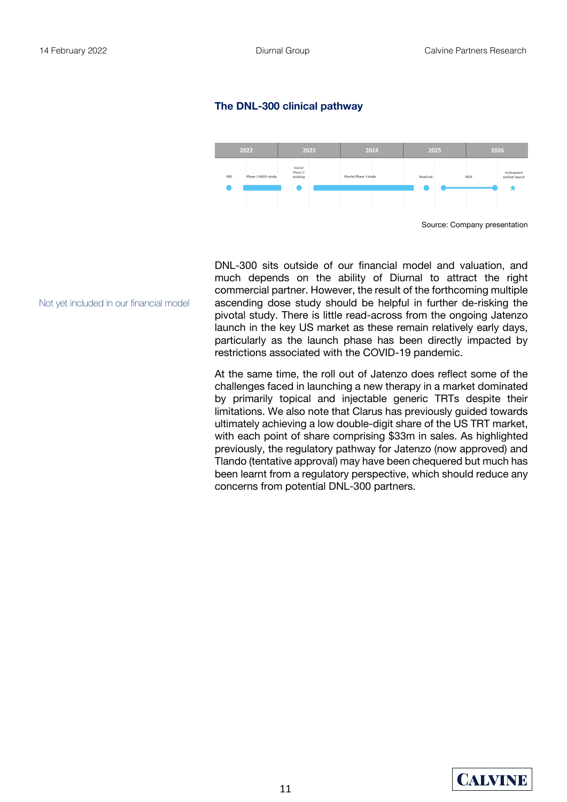#### **The DNL-300 clinical pathway**



DNL-300 sits outside of our financial model and valuation, and much depends on the ability of Diurnal to attract the right commercial partner. However, the result of the forthcoming multiple ascending dose study should be helpful in further de-risking the pivotal study. There is little read-across from the ongoing Jatenzo launch in the key US market as these remain relatively early days, particularly as the launch phase has been directly impacted by restrictions associated with the COVID-19 pandemic.

At the same time, the roll out of Jatenzo does reflect some of the challenges faced in launching a new therapy in a market dominated by primarily topical and injectable generic TRTs despite their limitations. We also note that Clarus has previously guided towards ultimately achieving a low double-digit share of the US TRT market, with each point of share comprising \$33m in sales. As highlighted previously, the regulatory pathway for Jatenzo (now approved) and Tlando (tentative approval) may have been chequered but much has been learnt from a regulatory perspective, which should reduce any concerns from potential DNL-300 partners.

Not yet included in our financial model

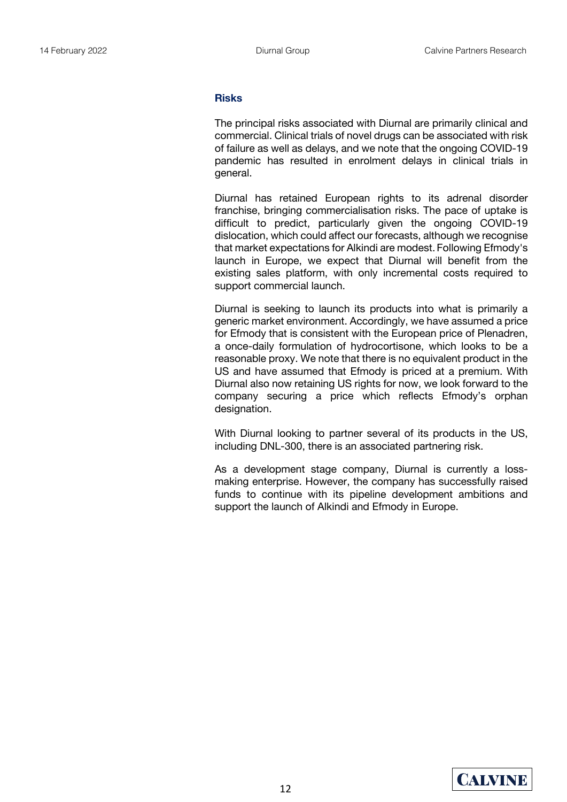#### **Risks**

The principal risks associated with Diurnal are primarily clinical and commercial. Clinical trials of novel drugs can be associated with risk of failure as well as delays, and we note that the ongoing COVID-19 pandemic has resulted in enrolment delays in clinical trials in general.

Diurnal has retained European rights to its adrenal disorder franchise, bringing commercialisation risks. The pace of uptake is difficult to predict, particularly given the ongoing COVID-19 dislocation, which could affect our forecasts, although we recognise that market expectations for Alkindi are modest. Following Efmody's launch in Europe, we expect that Diurnal will benefit from the existing sales platform, with only incremental costs required to support commercial launch.

Diurnal is seeking to launch its products into what is primarily a generic market environment. Accordingly, we have assumed a price for Efmody that is consistent with the European price of Plenadren, a once-daily formulation of hydrocortisone, which looks to be a reasonable proxy. We note that there is no equivalent product in the US and have assumed that Efmody is priced at a premium. With Diurnal also now retaining US rights for now, we look forward to the company securing a price which reflects Efmody's orphan designation.

With Diurnal looking to partner several of its products in the US, including DNL-300, there is an associated partnering risk.

As a development stage company, Diurnal is currently a lossmaking enterprise. However, the company has successfully raised funds to continue with its pipeline development ambitions and support the launch of Alkindi and Efmody in Europe.

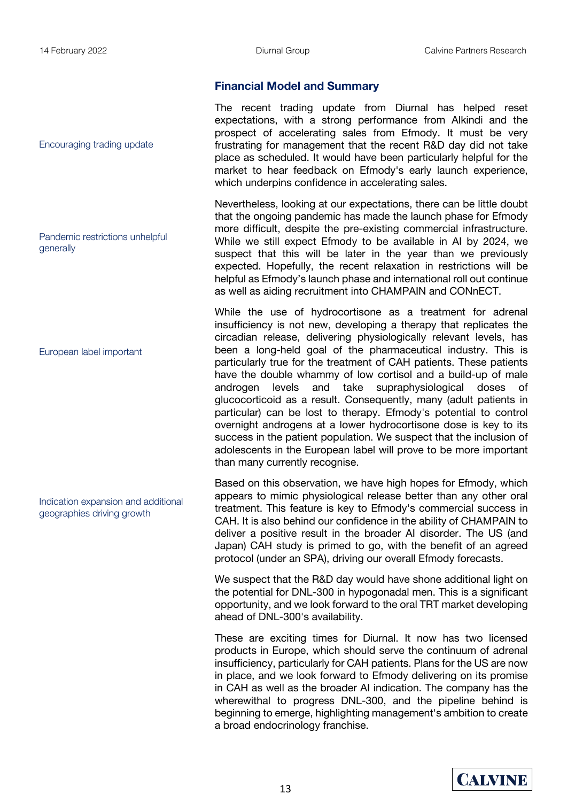#### **Financial Model and Summary**

The recent trading update from Diurnal has helped reset expectations, with a strong performance from Alkindi and the prospect of accelerating sales from Efmody. It must be very frustrating for management that the recent R&D day did not take place as scheduled. It would have been particularly helpful for the market to hear feedback on Efmody's early launch experience, which underpins confidence in accelerating sales.

Nevertheless, looking at our expectations, there can be little doubt that the ongoing pandemic has made the launch phase for Efmody more difficult, despite the pre-existing commercial infrastructure. While we still expect Efmody to be available in AI by 2024, we suspect that this will be later in the year than we previously expected. Hopefully, the recent relaxation in restrictions will be helpful as Efmody's launch phase and international roll out continue as well as aiding recruitment into CHAMPAIN and CONnECT.

While the use of hydrocortisone as a treatment for adrenal insufficiency is not new, developing a therapy that replicates the circadian release, delivering physiologically relevant levels, has been a long-held goal of the pharmaceutical industry. This is particularly true for the treatment of CAH patients. These patients have the double whammy of low cortisol and a build-up of male androgen levels and take supraphysiological doses of glucocorticoid as a result. Consequently, many (adult patients in particular) can be lost to therapy. Efmody's potential to control overnight androgens at a lower hydrocortisone dose is key to its success in the patient population. We suspect that the inclusion of adolescents in the European label will prove to be more important than many currently recognise.

Based on this observation, we have high hopes for Efmody, which appears to mimic physiological release better than any other oral treatment. This feature is key to Efmody's commercial success in CAH. It is also behind our confidence in the ability of CHAMPAIN to deliver a positive result in the broader AI disorder. The US (and Japan) CAH study is primed to go, with the benefit of an agreed protocol (under an SPA), driving our overall Efmody forecasts.

We suspect that the R&D day would have shone additional light on the potential for DNL-300 in hypogonadal men. This is a significant opportunity, and we look forward to the oral TRT market developing ahead of DNL-300's availability.

These are exciting times for Diurnal. It now has two licensed products in Europe, which should serve the continuum of adrenal insufficiency, particularly for CAH patients. Plans for the US are now in place, and we look forward to Efmody delivering on its promise in CAH as well as the broader AI indication. The company has the wherewithal to progress DNL-300, and the pipeline behind is beginning to emerge, highlighting management's ambition to create a broad endocrinology franchise.

Encouraging trading update

Pandemic restrictions unhelpful generally

European label important

Indication expansion and additional geographies driving growth

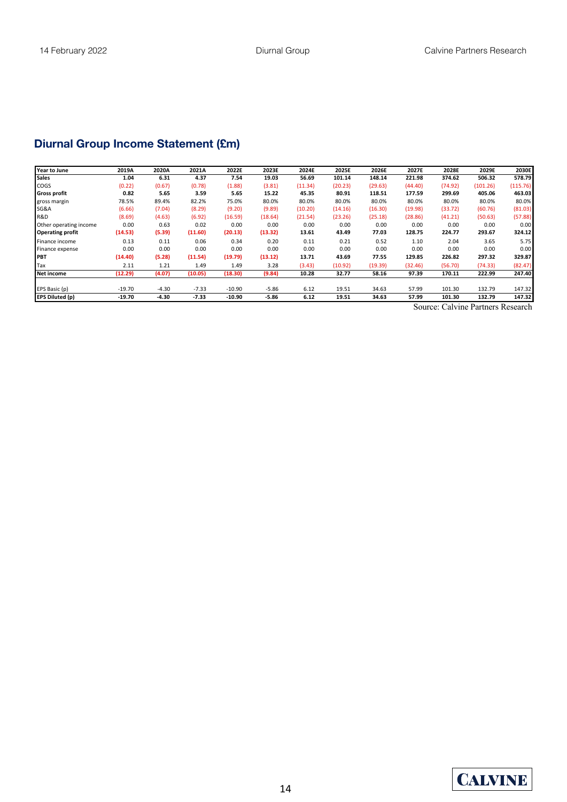## **Diurnal Group Income Statement (£m)**

| Year to June            | 2019A    | 2020A   | 2021A   | 2022E    | 2023E   | 2024E   | 2025E   | 2026E   | 2027E   | 2028E   | 2029E    | 2030E    |
|-------------------------|----------|---------|---------|----------|---------|---------|---------|---------|---------|---------|----------|----------|
| <b>Sales</b>            | 1.04     | 6.31    | 4.37    | 7.54     | 19.03   | 56.69   | 101.14  | 148.14  | 221.98  | 374.62  | 506.32   | 578.79   |
| <b>COGS</b>             | (0.22)   | (0.67)  | (0.78)  | (1.88)   | (3.81)  | (11.34) | (20.23) | (29.63) | (44.40) | (74.92) | (101.26) | (115.76) |
| <b>Gross profit</b>     | 0.82     | 5.65    | 3.59    | 5.65     | 15.22   | 45.35   | 80.91   | 118.51  | 177.59  | 299.69  | 405.06   | 463.03   |
| gross margin            | 78.5%    | 89.4%   | 82.2%   | 75.0%    | 80.0%   | 80.0%   | 80.0%   | 80.0%   | 80.0%   | 80.0%   | 80.0%    | 80.0%    |
| SG&A                    | (6.66)   | (7.04)  | (8.29)  | (9.20)   | (9.89)  | (10.20) | (14.16) | (16.30) | (19.98) | (33.72) | (60.76)  | (81.03)  |
| R&D                     | (8.69)   | (4.63)  | (6.92)  | (16.59)  | (18.64) | (21.54) | (23.26) | (25.18) | (28.86) | (41.21) | (50.63)  | (57.88)  |
| Other operating income  | 0.00     | 0.63    | 0.02    | 0.00     | 0.00    | 0.00    | 0.00    | 0.00    | 0.00    | 0.00    | 0.00     | 0.00     |
| <b>Operating profit</b> | (14.53)  | (5.39)  | (11.60) | (20.13)  | (13.32) | 13.61   | 43.49   | 77.03   | 128.75  | 224.77  | 293.67   | 324.12   |
| Finance income          | 0.13     | 0.11    | 0.06    | 0.34     | 0.20    | 0.11    | 0.21    | 0.52    | 1.10    | 2.04    | 3.65     | 5.75     |
| Finance expense         | 0.00     | 0.00    | 0.00    | 0.00     | 0.00    | 0.00    | 0.00    | 0.00    | 0.00    | 0.00    | 0.00     | 0.00     |
| PBT                     | (14.40)  | (5.28)  | (11.54) | (19.79)  | (13.12) | 13.71   | 43.69   | 77.55   | 129.85  | 226.82  | 297.32   | 329.87   |
| Tax                     | 2.11     | 1.21    | 1.49    | 1.49     | 3.28    | (3.43)  | (10.92) | (19.39) | (32.46) | (56.70) | (74.33)  | (82.47)  |
| <b>Net income</b>       | (12.29)  | (4.07)  | (10.05) | (18.30)  | (9.84)  | 10.28   | 32.77   | 58.16   | 97.39   | 170.11  | 222.99   | 247.40   |
|                         |          |         |         |          |         |         |         |         |         |         |          |          |
| EPS Basic (p)           | $-19.70$ | $-4.30$ | $-7.33$ | $-10.90$ | $-5.86$ | 6.12    | 19.51   | 34.63   | 57.99   | 101.30  | 132.79   | 147.32   |
| <b>EPS Diluted (p)</b>  | $-19.70$ | $-4.30$ | $-7.33$ | $-10.90$ | $-5.86$ | 6.12    | 19.51   | 34.63   | 57.99   | 101.30  | 132.79   | 147.32   |

Source: Calvine Partners Research

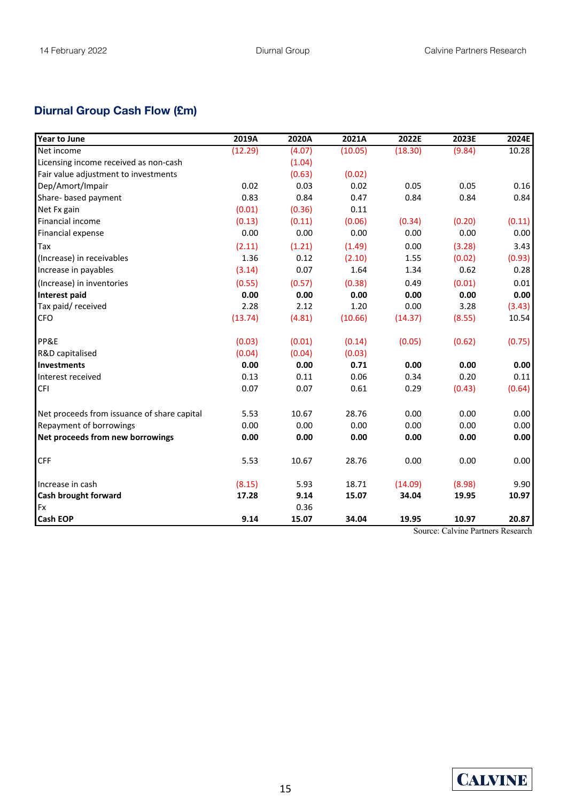## **Diurnal Group Cash Flow (£m)**

| <b>Year to June</b>                         | 2019A   | 2020A  | 2021A   | 2022E   | 2023E  | 2024E  |
|---------------------------------------------|---------|--------|---------|---------|--------|--------|
| Net income                                  | (12.29) | (4.07) | (10.05) | (18.30) | (9.84) | 10.28  |
| Licensing income received as non-cash       |         | (1.04) |         |         |        |        |
| Fair value adjustment to investments        |         | (0.63) | (0.02)  |         |        |        |
| Dep/Amort/Impair                            | 0.02    | 0.03   | 0.02    | 0.05    | 0.05   | 0.16   |
| Share- based payment                        | 0.83    | 0.84   | 0.47    | 0.84    | 0.84   | 0.84   |
| Net Fx gain                                 | (0.01)  | (0.36) | 0.11    |         |        |        |
| Financial income                            | (0.13)  | (0.11) | (0.06)  | (0.34)  | (0.20) | (0.11) |
| Financial expense                           | 0.00    | 0.00   | 0.00    | 0.00    | 0.00   | 0.00   |
| Tax                                         | (2.11)  | (1.21) | (1.49)  | 0.00    | (3.28) | 3.43   |
| (Increase) in receivables                   | 1.36    | 0.12   | (2.10)  | 1.55    | (0.02) | (0.93) |
| Increase in payables                        | (3.14)  | 0.07   | 1.64    | 1.34    | 0.62   | 0.28   |
| (Increase) in inventories                   | (0.55)  | (0.57) | (0.38)  | 0.49    | (0.01) | 0.01   |
| <b>Interest paid</b>                        | 0.00    | 0.00   | 0.00    | 0.00    | 0.00   | 0.00   |
| Tax paid/received                           | 2.28    | 2.12   | 1.20    | 0.00    | 3.28   | (3.43) |
| <b>CFO</b>                                  | (13.74) | (4.81) | (10.66) | (14.37) | (8.55) | 10.54  |
| PP&E                                        | (0.03)  | (0.01) | (0.14)  | (0.05)  | (0.62) | (0.75) |
| R&D capitalised                             | (0.04)  | (0.04) | (0.03)  |         |        |        |
| Investments                                 | 0.00    | 0.00   | 0.71    | 0.00    | 0.00   | 0.00   |
| Interest received                           | 0.13    | 0.11   | 0.06    | 0.34    | 0.20   | 0.11   |
| <b>CFI</b>                                  | 0.07    | 0.07   | 0.61    | 0.29    | (0.43) | (0.64) |
| Net proceeds from issuance of share capital | 5.53    | 10.67  | 28.76   | 0.00    | 0.00   | 0.00   |
| Repayment of borrowings                     | 0.00    | 0.00   | 0.00    | 0.00    | 0.00   | 0.00   |
| Net proceeds from new borrowings            | 0.00    | 0.00   | 0.00    | 0.00    | 0.00   | 0.00   |
| <b>CFF</b>                                  | 5.53    | 10.67  | 28.76   | 0.00    | 0.00   | 0.00   |
| Increase in cash                            | (8.15)  | 5.93   | 18.71   | (14.09) | (8.98) | 9.90   |
| Cash brought forward                        | 17.28   | 9.14   | 15.07   | 34.04   | 19.95  | 10.97  |
| Fx                                          |         | 0.36   |         |         |        |        |
| <b>Cash EOP</b>                             | 9.14    | 15.07  | 34.04   | 19.95   | 10.97  | 20.87  |

Source: Calvine Partners Research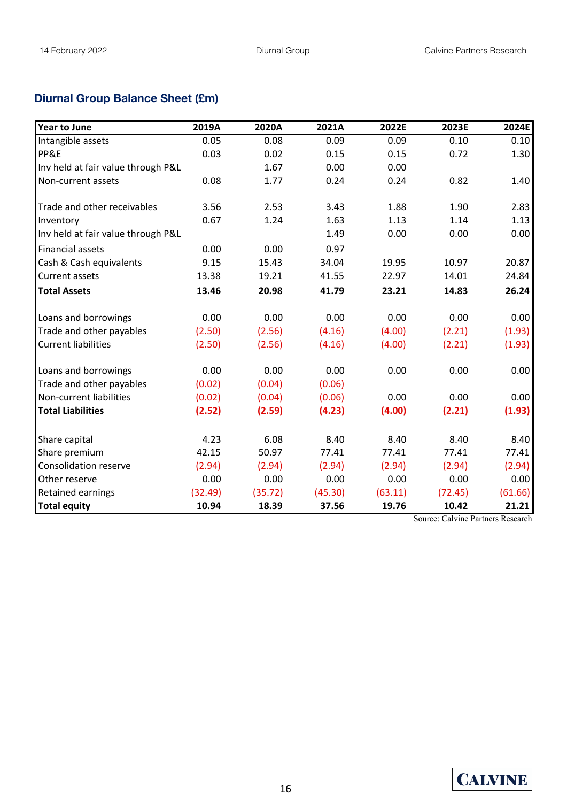### **Diurnal Group Balance Sheet (£m)**

| <b>Year to June</b>                | 2019A   | 2020A   | 2021A   | 2022E   | 2023E   | 2024E   |
|------------------------------------|---------|---------|---------|---------|---------|---------|
| Intangible assets                  | 0.05    | 0.08    | 0.09    | 0.09    | 0.10    | 0.10    |
| PP&E                               | 0.03    | 0.02    | 0.15    | 0.15    | 0.72    | 1.30    |
| Inv held at fair value through P&L |         | 1.67    | 0.00    | 0.00    |         |         |
| Non-current assets                 | 0.08    | 1.77    | 0.24    | 0.24    | 0.82    | 1.40    |
| Trade and other receivables        | 3.56    | 2.53    | 3.43    | 1.88    | 1.90    | 2.83    |
| Inventory                          | 0.67    | 1.24    | 1.63    | 1.13    | 1.14    | 1.13    |
| Inv held at fair value through P&L |         |         | 1.49    | 0.00    | 0.00    | 0.00    |
| <b>Financial assets</b>            | 0.00    | 0.00    | 0.97    |         |         |         |
| Cash & Cash equivalents            | 9.15    | 15.43   | 34.04   | 19.95   | 10.97   | 20.87   |
| <b>Current assets</b>              | 13.38   | 19.21   | 41.55   | 22.97   | 14.01   | 24.84   |
| <b>Total Assets</b>                | 13.46   | 20.98   | 41.79   | 23.21   | 14.83   | 26.24   |
| Loans and borrowings               | 0.00    | 0.00    | 0.00    | 0.00    | 0.00    | 0.00    |
| Trade and other payables           | (2.50)  | (2.56)  | (4.16)  | (4.00)  | (2.21)  | (1.93)  |
| <b>Current liabilities</b>         | (2.50)  | (2.56)  | (4.16)  | (4.00)  | (2.21)  | (1.93)  |
| Loans and borrowings               | 0.00    | 0.00    | 0.00    | 0.00    | 0.00    | 0.00    |
| Trade and other payables           | (0.02)  | (0.04)  | (0.06)  |         |         |         |
| Non-current liabilities            | (0.02)  | (0.04)  | (0.06)  | 0.00    | 0.00    | 0.00    |
| <b>Total Liabilities</b>           | (2.52)  | (2.59)  | (4.23)  | (4.00)  | (2.21)  | (1.93)  |
| Share capital                      | 4.23    | 6.08    | 8.40    | 8.40    | 8.40    | 8.40    |
| Share premium                      | 42.15   | 50.97   | 77.41   | 77.41   | 77.41   | 77.41   |
| <b>Consolidation reserve</b>       | (2.94)  | (2.94)  | (2.94)  | (2.94)  | (2.94)  | (2.94)  |
| Other reserve                      | 0.00    | 0.00    | 0.00    | 0.00    | 0.00    | 0.00    |
| Retained earnings                  | (32.49) | (35.72) | (45.30) | (63.11) | (72.45) | (61.66) |
| <b>Total equity</b>                | 10.94   | 18.39   | 37.56   | 19.76   | 10.42   | 21.21   |

Source: Calvine Partners Research